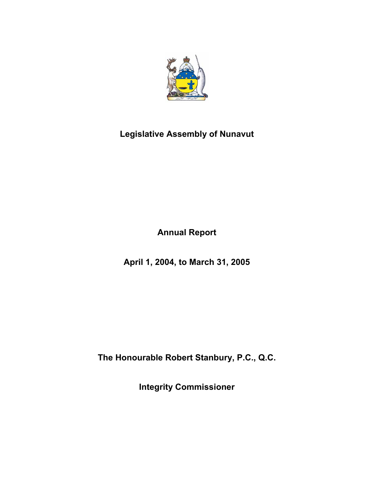

# **Legislative Assembly of Nunavut**

**Annual Report** 

**April 1, 2004, to March 31, 2005** 

**The Honourable Robert Stanbury, P.C., Q.C.** 

**Integrity Commissioner**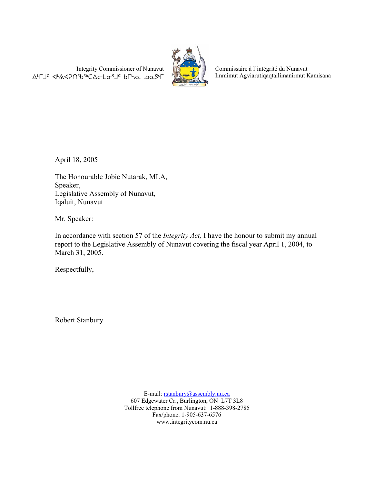Integrity Commissioner of Nunavut AFJ< <br />
«



Commissaire à l'intégrité du Nunavut Immimut Agviarutiqaqtailimanirmut Kamisana

April 18, 2005

The Honourable Jobie Nutarak, MLA, Speaker, Legislative Assembly of Nunavut, Iqaluit, Nunavut

Mr. Speaker:

In accordance with section 57 of the *Integrity Act,* I have the honour to submit my annual report to the Legislative Assembly of Nunavut covering the fiscal year April 1, 2004, to March 31, 2005.

Respectfully,

Robert Stanbury

E-mail: rstanbury@assembly.nu.ca 607 Edgewater Cr., Burlington, ON L7T 3L8 Tollfree telephone from Nunavut: 1-888-398-2785 Fax/phone: 1-905-637-6576 www.integritycom.nu.ca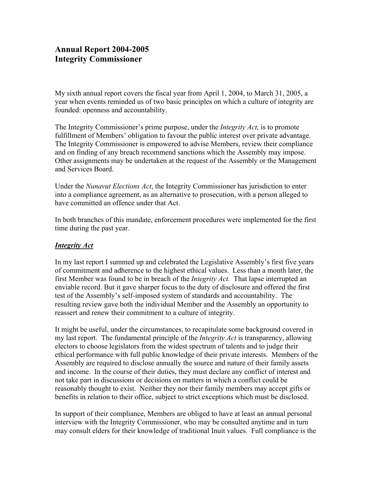# **Annual Report 2004-2005 Integrity Commissioner**

My sixth annual report covers the fiscal year from April 1, 2004, to March 31, 2005, a year when events reminded us of two basic principles on which a culture of integrity are founded: openness and accountability.

The Integrity Commissioner's prime purpose, under the *Integrity Act,* is to promote fulfillment of Members' obligation to favour the public interest over private advantage. The Integrity Commissioner is empowered to advise Members, review their compliance and on finding of any breach recommend sanctions which the Assembly may impose. Other assignments may be undertaken at the request of the Assembly or the Management and Services Board.

Under the *Nunavut Elections Act*, the Integrity Commissioner has jurisdiction to enter into a compliance agreement, as an alternative to prosecution, with a person alleged to have committed an offence under that Act.

In both branches of this mandate, enforcement procedures were implemented for the first time during the past year.

## *Integrity Act*

In my last report I summed up and celebrated the Legislative Assembly's first five years of commitment and adherence to the highest ethical values. Less than a month later, the first Member was found to be in breach of the *Integrity Act.* That lapse interrupted an enviable record. But it gave sharper focus to the duty of disclosure and offered the first test of the Assembly's self-imposed system of standards and accountability. The resulting review gave both the individual Member and the Assembly an opportunity to reassert and renew their commitment to a culture of integrity.

It might be useful, under the circumstances, to recapitulate some background covered in my last report. The fundamental principle of the *Integrity Act* is transparency, allowing electors to choose legislators from the widest spectrum of talents and to judge their ethical performance with full public knowledge of their private interests. Members of the Assembly are required to disclose annually the source and nature of their family assets and income. In the course of their duties, they must declare any conflict of interest and not take part in discussions or decisions on matters in which a conflict could be reasonably thought to exist. Neither they nor their family members may accept gifts or benefits in relation to their office, subject to strict exceptions which must be disclosed.

In support of their compliance, Members are obliged to have at least an annual personal interview with the Integrity Commissioner, who may be consulted anytime and in turn may consult elders for their knowledge of traditional Inuit values. Full compliance is the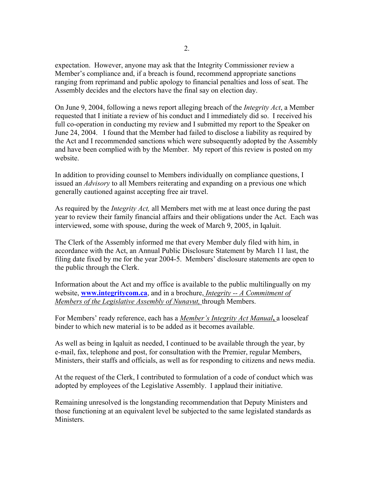expectation. However, anyone may ask that the Integrity Commissioner review a Member's compliance and, if a breach is found, recommend appropriate sanctions ranging from reprimand and public apology to financial penalties and loss of seat. The Assembly decides and the electors have the final say on election day.

On June 9, 2004, following a news report alleging breach of the *Integrity Act*, a Member requested that I initiate a review of his conduct and I immediately did so. I received his full co-operation in conducting my review and I submitted my report to the Speaker on June 24, 2004. I found that the Member had failed to disclose a liability as required by the Act and I recommended sanctions which were subsequently adopted by the Assembly and have been complied with by the Member. My report of this review is posted on my website.

In addition to providing counsel to Members individually on compliance questions, I issued an *Advisory* to all Members reiterating and expanding on a previous one which generally cautioned against accepting free air travel.

As required by the *Integrity Act,* all Members met with me at least once during the past year to review their family financial affairs and their obligations under the Act. Each was interviewed, some with spouse, during the week of March 9, 2005, in Iqaluit.

The Clerk of the Assembly informed me that every Member duly filed with him, in accordance with the Act, an Annual Public Disclosure Statement by March 11 last, the filing date fixed by me for the year 2004-5. Members' disclosure statements are open to the public through the Clerk.

Information about the Act and my office is available to the public multilingually on my website, **www.integritycom.ca**, and in a brochure, *Integrity -- A Commitment of Members of the Legislative Assembly of Nunavut,* through Members.

For Members' ready reference, each has a *Member's Integrity Act Manual***,** a looseleaf binder to which new material is to be added as it becomes available.

As well as being in Iqaluit as needed, I continued to be available through the year, by e-mail, fax, telephone and post, for consultation with the Premier, regular Members, Ministers, their staffs and officials, as well as for responding to citizens and news media.

At the request of the Clerk, I contributed to formulation of a code of conduct which was adopted by employees of the Legislative Assembly. I applaud their initiative.

Remaining unresolved is the longstanding recommendation that Deputy Ministers and those functioning at an equivalent level be subjected to the same legislated standards as **Ministers**